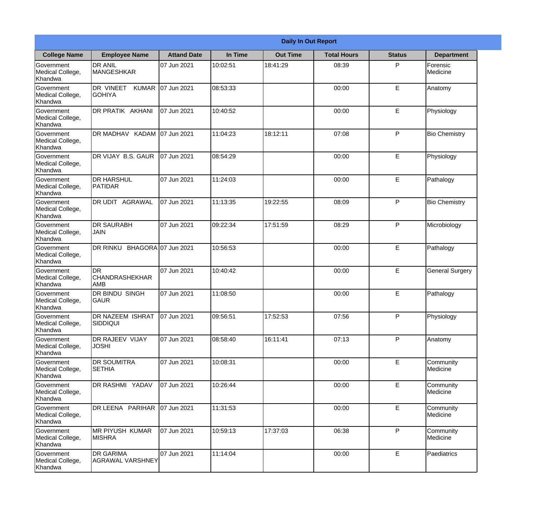|                                           |                                                  |                     |          | <b>Daily In Out Report</b> |                    |               |                        |
|-------------------------------------------|--------------------------------------------------|---------------------|----------|----------------------------|--------------------|---------------|------------------------|
| <b>College Name</b>                       | <b>Employee Name</b>                             | <b>Attand Date</b>  | In Time  | <b>Out Time</b>            | <b>Total Hours</b> | <b>Status</b> | <b>Department</b>      |
| Government<br>Medical College,<br>Khandwa | <b>DR ANIL</b><br><b>MANGESHKAR</b>              | 07 Jun 2021         | 10:02:51 | 18:41:29                   | 08:39              | P             | Forensic<br>Medicine   |
| Government<br>Medical College,<br>Khandwa | DR VINEET<br><b>KUMAR</b><br><b>GOHIYA</b>       | 07 Jun 2021         | 08:53:33 |                            | 00:00              | E             | Anatomy                |
| Government<br>Medical College,<br>Khandwa | DR PRATIK AKHANI                                 | 07 Jun 2021         | 10:40:52 |                            | 00:00              | E             | Physiology             |
| Government<br>Medical College,<br>Khandwa | DR MADHAV KADAM                                  | 07 Jun 2021         | 11:04:23 | 18:12:11                   | 07:08              | P             | <b>Bio Chemistry</b>   |
| Government<br>Medical College,<br>Khandwa | DR VIJAY B.S. GAUR                               | 07 Jun 2021         | 08:54:29 |                            | 00:00              | E             | Physiology             |
| Government<br>Medical College,<br>Khandwa | <b>DR HARSHUL</b><br>PATIDAR                     | 07 Jun 2021         | 11:24:03 |                            | 00:00              | E             | Pathalogy              |
| Government<br>Medical College,<br>Khandwa | DR UDIT AGRAWAL                                  | 07 Jun 2021         | 11:13:35 | 19:22:55                   | 08:09              | P             | <b>Bio Chemistry</b>   |
| Government<br>Medical College,<br>Khandwa | <b>DR SAURABH</b><br>JAIN                        | 07 Jun 2021         | 09:22:34 | 17:51:59                   | 08:29              | P             | Microbiology           |
| Government<br>Medical College,<br>Khandwa | DR RINKU                                         | BHAGORA 07 Jun 2021 | 10:56:53 |                            | 00:00              | E             | Pathalogy              |
| Government<br>Medical College,<br>Khandwa | <b>DR</b><br><b>CHANDRASHEKHAR</b><br><b>AMB</b> | 07 Jun 2021         | 10:40:42 |                            | 00:00              | E             | <b>General Surgery</b> |
| Government<br>Medical College,<br>Khandwa | DR BINDU SINGH<br><b>GAUR</b>                    | 07 Jun 2021         | 11:08:50 |                            | 00:00              | E             | Pathalogy              |
| Government<br>Medical College,<br>Khandwa | <b>DR NAZEEM ISHRAT</b><br><b>SIDDIQUI</b>       | 07 Jun 2021         | 09:56:51 | 17:52:53                   | 07:56              | P             | Physiology             |
| Government<br>Medical College,<br>Khandwa | DR RAJEEV VIJAY<br><b>JOSHI</b>                  | 07 Jun 2021         | 08:58:40 | 16:11:41                   | 07:13              | P             | Anatomy                |
| Government<br>Medical College,<br>Khandwa | DR SOUMITRA<br><b>SETHIA</b>                     | 07 Jun 2021         | 10:08:31 |                            | 00:00              | E             | Community<br>Medicine  |
| Government<br>Medical College,<br>Khandwa | DR RASHMI YADAV                                  | 07 Jun 2021         | 10:26:44 |                            | 00:00              | E             | Community<br>Medicine  |
| Government<br>Medical College,<br>Khandwa | DR LEENA PARIHAR                                 | 07 Jun 2021         | 11:31:53 |                            | 00:00              | E             | Community<br>Medicine  |
| Government<br>Medical College,<br>Khandwa | <b>MR PIYUSH KUMAR</b><br><b>MISHRA</b>          | 07 Jun 2021         | 10:59:13 | 17:37:03                   | 06:38              | P             | Community<br>Medicine  |
| Government<br>Medical College,<br>Khandwa | DR GARIMA<br><b>AGRAWAL VARSHNEY</b>             | 07 Jun 2021         | 11:14:04 |                            | 00:00              | E             | Paediatrics            |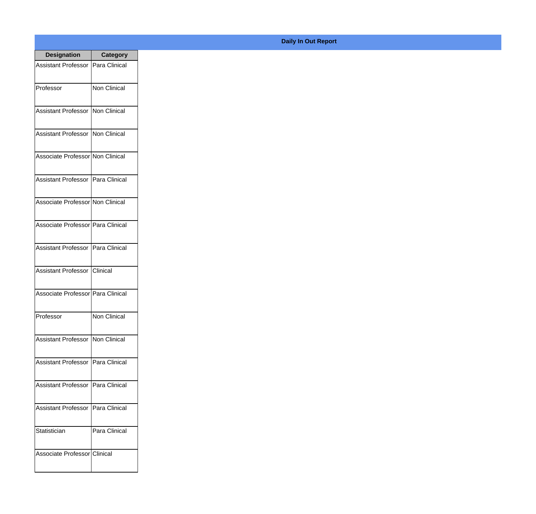| <b>Designation</b>                  | <b>Category</b> |
|-------------------------------------|-----------------|
| Assistant Professor   Para Clinical |                 |
| Professor                           | Non Clinical    |
| Assistant Professor   Non Clinical  |                 |
| Assistant Professor   Non Clinical  |                 |
| Associate Professor Non Clinical    |                 |
| Assistant Professor   Para Clinical |                 |
| Associate Professor Non Clinical    |                 |
| Associate Professor Para Clinical   |                 |
| Assistant Professor   Para Clinical |                 |
| Assistant Professor   Clinical      |                 |
| Associate Professor Para Clinical   |                 |
| Professor                           | Non Clinical    |
| Assistant Professor Non Clinical    |                 |
| Assistant Professor   Para Clinical |                 |
| Assistant Professor                 | Para Clinical   |
| <b>Assistant Professor</b>          | Para Clinical   |
| Statistician                        | Para Clinical   |
| Associate Professor Clinical        |                 |

## **Daily In Out Report**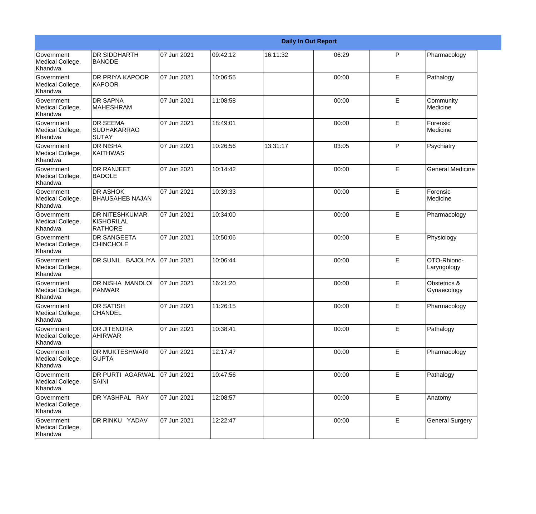|                                                  |                                                       |             |          |          | <b>Daily In Out Report</b> |              |                             |
|--------------------------------------------------|-------------------------------------------------------|-------------|----------|----------|----------------------------|--------------|-----------------------------|
| Government<br>Medical College,<br>Khandwa        | <b>DR SIDDHARTH</b><br><b>BANODE</b>                  | 07 Jun 2021 | 09:42:12 | 16:11:32 | 06:29                      | P            | Pharmacology                |
| Government<br>Medical College,<br>Khandwa        | DR PRIYA KAPOOR<br><b>KAPOOR</b>                      | 07 Jun 2021 | 10:06:55 |          | 00:00                      | E.           | Pathalogy                   |
| Government<br>Medical College,<br>Khandwa        | <b>DR SAPNA</b><br><b>MAHESHRAM</b>                   | 07 Jun 2021 | 11:08:58 |          | 00:00                      | E            | Community<br>Medicine       |
| <b>Government</b><br>Medical College,<br>Khandwa | <b>DR SEEMA</b><br><b>SUDHAKARRAO</b><br><b>SUTAY</b> | 07 Jun 2021 | 18:49:01 |          | 00:00                      | E            | Forensic<br>Medicine        |
| <b>Government</b><br>Medical College,<br>Khandwa | <b>DR NISHA</b><br>KAITHWAS                           | 07 Jun 2021 | 10:26:56 | 13:31:17 | 03:05                      | $\mathsf{P}$ | Psychiatry                  |
| Government<br>Medical College,<br>Khandwa        | <b>DR RANJEET</b><br><b>BADOLE</b>                    | 07 Jun 2021 | 10:14:42 |          | 00:00                      | E            | <b>General Medicine</b>     |
| Government<br>Medical College,<br>Khandwa        | <b>DR ASHOK</b><br><b>BHAUSAHEB NAJAN</b>             | 07 Jun 2021 | 10:39:33 |          | 00:00                      | E            | Forensic<br>Medicine        |
| Government<br>Medical College,<br>Khandwa        | <b>DR NITESHKUMAR</b><br>KISHORILAL<br><b>RATHORE</b> | 07 Jun 2021 | 10:34:00 |          | 00:00                      | E            | Pharmacology                |
| <b>Government</b><br>Medical College,<br>Khandwa | <b>DR SANGEETA</b><br><b>CHINCHOLE</b>                | 07 Jun 2021 | 10:50:06 |          | 00:00                      | E            | Physiology                  |
| Government<br>Medical College,<br><b>Khandwa</b> | DR SUNIL BAJOLIYA                                     | 07 Jun 2021 | 10:06:44 |          | 00:00                      | E            | OTO-Rhiono-<br>Laryngology  |
| Government<br>Medical College,<br>Khandwa        | DR NISHA MANDLOI<br>PANWAR                            | 07 Jun 2021 | 16:21:20 |          | 00:00                      | E            | Obstetrics &<br>Gynaecology |
| Government<br>Medical College,<br>Khandwa        | <b>DR SATISH</b><br><b>CHANDEL</b>                    | 07 Jun 2021 | 11:26:15 |          | 00:00                      | E            | Pharmacology                |
| Government<br>Medical College,<br>Khandwa        | <b>DR JITENDRA</b><br><b>AHIRWAR</b>                  | 07 Jun 2021 | 10:38:41 |          | 00:00                      | E            | Pathalogy                   |
| Government<br>Medical College,<br>Khandwa        | DR MUKTESHWARI<br><b>GUPTA</b>                        | 07 Jun 2021 | 12:17:47 |          | 00:00                      | E            | Pharmacology                |
| Government<br>Medical College,<br>Khandwa        | DR PURTI AGARWAL<br><b>SAINI</b>                      | 07 Jun 2021 | 10:47:56 |          | 00:00                      | E            | Pathalogy                   |
| Government<br>Medical College,<br>Khandwa        | DR YASHPAL RAY                                        | 07 Jun 2021 | 12:08:57 |          | 00:00                      | E            | Anatomy                     |
| Government<br>Medical College,<br>Khandwa        | DR RINKU YADAV                                        | 07 Jun 2021 | 12:22:47 |          | 00:00                      | $\mathsf E$  | <b>General Surgery</b>      |